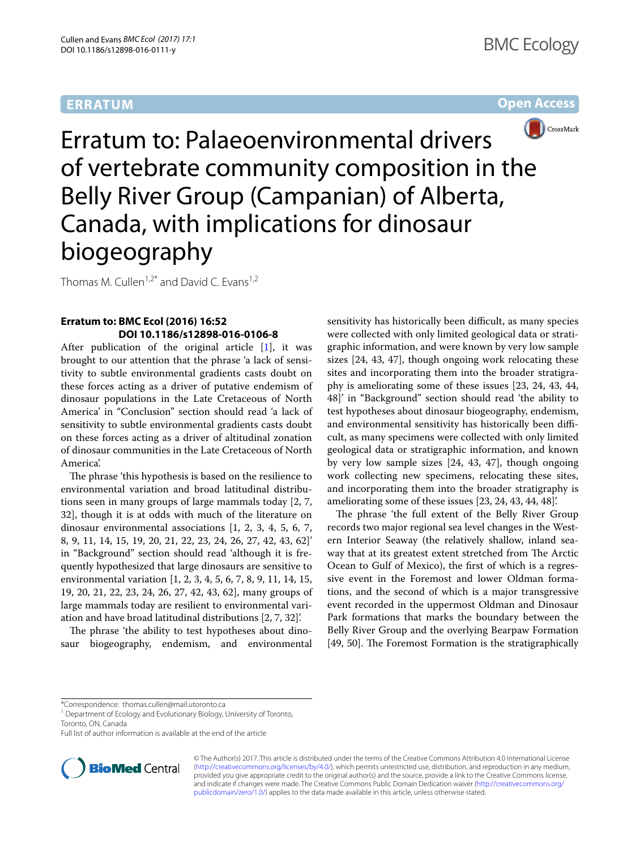# **ERRATUM**

### **Open Access**



Erratum to: Palaeoenvironmental drivers of vertebrate community composition in the Belly River Group (Campanian) of Alberta, Canada, with implications for dinosaur biogeography

Thomas M. Cullen<sup>1,2\*</sup> and David C. Evans<sup>1,2</sup>

### **Erratum to: BMC Ecol (2016) 16:52 DOI 10.1186/s12898‑016‑0106‑8**

After publication of the original article  $[1]$  $[1]$ , it was brought to our attention that the phrase 'a lack of sensitivity to subtle environmental gradients casts doubt on these forces acting as a driver of putative endemism of dinosaur populations in the Late Cretaceous of North America' in "Conclusion" section should read 'a lack of sensitivity to subtle environmental gradients casts doubt on these forces acting as a driver of altitudinal zonation of dinosaur communities in the Late Cretaceous of North America'.

The phrase 'this hypothesis is based on the resilience to environmental variation and broad latitudinal distributions seen in many groups of large mammals today [2, 7, 32], though it is at odds with much of the literature on dinosaur environmental associations [1, 2, 3, 4, 5, 6, 7, 8, 9, 11, 14, 15, 19, 20, 21, 22, 23, 24, 26, 27, 42, 43, 62]' in "Background" section should read 'although it is frequently hypothesized that large dinosaurs are sensitive to environmental variation [1, 2, 3, 4, 5, 6, 7, 8, 9, 11, 14, 15, 19, 20, 21, 22, 23, 24, 26, 27, 42, 43, 62], many groups of large mammals today are resilient to environmental variation and have broad latitudinal distributions [2, 7, 32]'.

The phrase 'the ability to test hypotheses about dinosaur biogeography, endemism, and environmental

sensitivity has historically been difficult, as many species were collected with only limited geological data or stratigraphic information, and were known by very low sample sizes [24, 43, 47], though ongoing work relocating these sites and incorporating them into the broader stratigraphy is ameliorating some of these issues [23, 24, 43, 44, 48]' in "Background" section should read 'the ability to test hypotheses about dinosaur biogeography, endemism, and environmental sensitivity has historically been difficult, as many specimens were collected with only limited geological data or stratigraphic information, and known by very low sample sizes [24, 43, 47], though ongoing work collecting new specimens, relocating these sites, and incorporating them into the broader stratigraphy is ameliorating some of these issues [23, 24, 43, 44, 48]'.

The phrase 'the full extent of the Belly River Group records two major regional sea level changes in the Western Interior Seaway (the relatively shallow, inland seaway that at its greatest extent stretched from The Arctic Ocean to Gulf of Mexico), the first of which is a regressive event in the Foremost and lower Oldman formations, and the second of which is a major transgressive event recorded in the uppermost Oldman and Dinosaur Park formations that marks the boundary between the Belly River Group and the overlying Bearpaw Formation [49, 50]. The Foremost Formation is the stratigraphically

Full list of author information is available at the end of the article



© The Author(s) 2017. This article is distributed under the terms of the Creative Commons Attribution 4.0 International License [\(http://creativecommons.org/licenses/by/4.0/\)](http://creativecommons.org/licenses/by/4.0/), which permits unrestricted use, distribution, and reproduction in any medium, provided you give appropriate credit to the original author(s) and the source, provide a link to the Creative Commons license, and indicate if changes were made. The Creative Commons Public Domain Dedication waiver ([http://creativecommons.org/](http://creativecommons.org/publicdomain/zero/1.0/) [publicdomain/zero/1.0/](http://creativecommons.org/publicdomain/zero/1.0/)) applies to the data made available in this article, unless otherwise stated.

<sup>\*</sup>Correspondence: thomas.cullen@mail.utoronto.ca

<sup>&</sup>lt;sup>1</sup> Department of Ecology and Evolutionary Biology, University of Toronto, Toronto, ON, Canada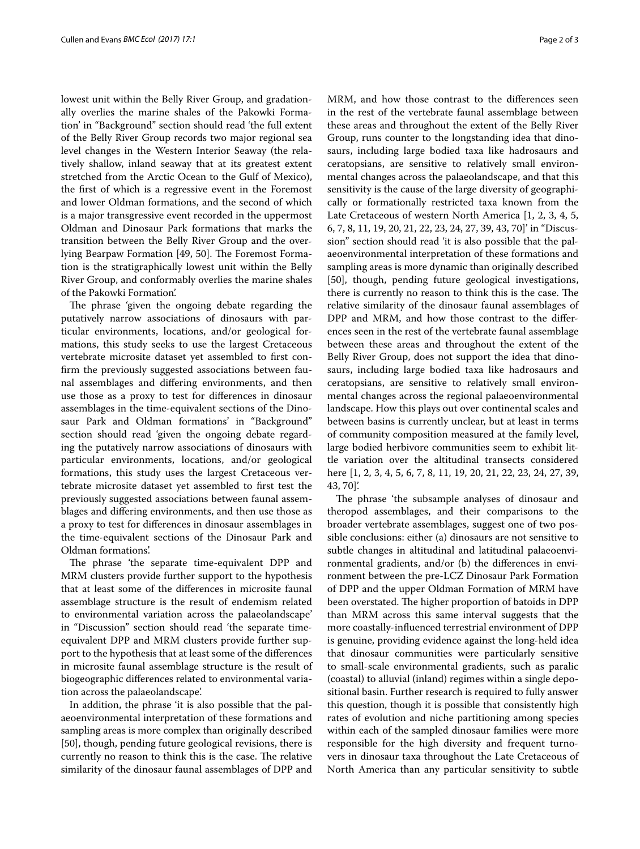lowest unit within the Belly River Group, and gradationally overlies the marine shales of the Pakowki Formation' in "Background" section should read 'the full extent of the Belly River Group records two major regional sea level changes in the Western Interior Seaway (the relatively shallow, inland seaway that at its greatest extent stretched from the Arctic Ocean to the Gulf of Mexico), the first of which is a regressive event in the Foremost and lower Oldman formations, and the second of which is a major transgressive event recorded in the uppermost Oldman and Dinosaur Park formations that marks the transition between the Belly River Group and the overlying Bearpaw Formation [49, 50]. The Foremost Formation is the stratigraphically lowest unit within the Belly River Group, and conformably overlies the marine shales of the Pakowki Formation'.

The phrase 'given the ongoing debate regarding the putatively narrow associations of dinosaurs with particular environments, locations, and/or geological formations, this study seeks to use the largest Cretaceous vertebrate microsite dataset yet assembled to first confirm the previously suggested associations between faunal assemblages and differing environments, and then use those as a proxy to test for differences in dinosaur assemblages in the time-equivalent sections of the Dinosaur Park and Oldman formations' in "Background" section should read 'given the ongoing debate regarding the putatively narrow associations of dinosaurs with particular environments, locations, and/or geological formations, this study uses the largest Cretaceous vertebrate microsite dataset yet assembled to first test the previously suggested associations between faunal assemblages and differing environments, and then use those as a proxy to test for differences in dinosaur assemblages in the time-equivalent sections of the Dinosaur Park and Oldman formations'.

The phrase 'the separate time-equivalent DPP and MRM clusters provide further support to the hypothesis that at least some of the differences in microsite faunal assemblage structure is the result of endemism related to environmental variation across the palaeolandscape' in "Discussion" section should read 'the separate timeequivalent DPP and MRM clusters provide further support to the hypothesis that at least some of the differences in microsite faunal assemblage structure is the result of biogeographic differences related to environmental variation across the palaeolandscape'.

In addition, the phrase 'it is also possible that the palaeoenvironmental interpretation of these formations and sampling areas is more complex than originally described [50], though, pending future geological revisions, there is currently no reason to think this is the case. The relative similarity of the dinosaur faunal assemblages of DPP and MRM, and how those contrast to the differences seen in the rest of the vertebrate faunal assemblage between these areas and throughout the extent of the Belly River Group, runs counter to the longstanding idea that dinosaurs, including large bodied taxa like hadrosaurs and ceratopsians, are sensitive to relatively small environmental changes across the palaeolandscape, and that this sensitivity is the cause of the large diversity of geographically or formationally restricted taxa known from the Late Cretaceous of western North America [1, 2, 3, 4, 5, 6, 7, 8, 11, 19, 20, 21, 22, 23, 24, 27, 39, 43, 70]' in "Discussion" section should read 'it is also possible that the palaeoenvironmental interpretation of these formations and sampling areas is more dynamic than originally described [50], though, pending future geological investigations, there is currently no reason to think this is the case. The relative similarity of the dinosaur faunal assemblages of DPP and MRM, and how those contrast to the differences seen in the rest of the vertebrate faunal assemblage between these areas and throughout the extent of the Belly River Group, does not support the idea that dinosaurs, including large bodied taxa like hadrosaurs and ceratopsians, are sensitive to relatively small environmental changes across the regional palaeoenvironmental landscape. How this plays out over continental scales and between basins is currently unclear, but at least in terms of community composition measured at the family level, large bodied herbivore communities seem to exhibit little variation over the altitudinal transects considered here [1, 2, 3, 4, 5, 6, 7, 8, 11, 19, 20, 21, 22, 23, 24, 27, 39, 43, 70]'.

The phrase 'the subsample analyses of dinosaur and theropod assemblages, and their comparisons to the broader vertebrate assemblages, suggest one of two possible conclusions: either (a) dinosaurs are not sensitive to subtle changes in altitudinal and latitudinal palaeoenvironmental gradients, and/or (b) the differences in environment between the pre-LCZ Dinosaur Park Formation of DPP and the upper Oldman Formation of MRM have been overstated. The higher proportion of batoids in DPP than MRM across this same interval suggests that the more coastally-influenced terrestrial environment of DPP is genuine, providing evidence against the long-held idea that dinosaur communities were particularly sensitive to small-scale environmental gradients, such as paralic (coastal) to alluvial (inland) regimes within a single depositional basin. Further research is required to fully answer this question, though it is possible that consistently high rates of evolution and niche partitioning among species within each of the sampled dinosaur families were more responsible for the high diversity and frequent turnovers in dinosaur taxa throughout the Late Cretaceous of North America than any particular sensitivity to subtle